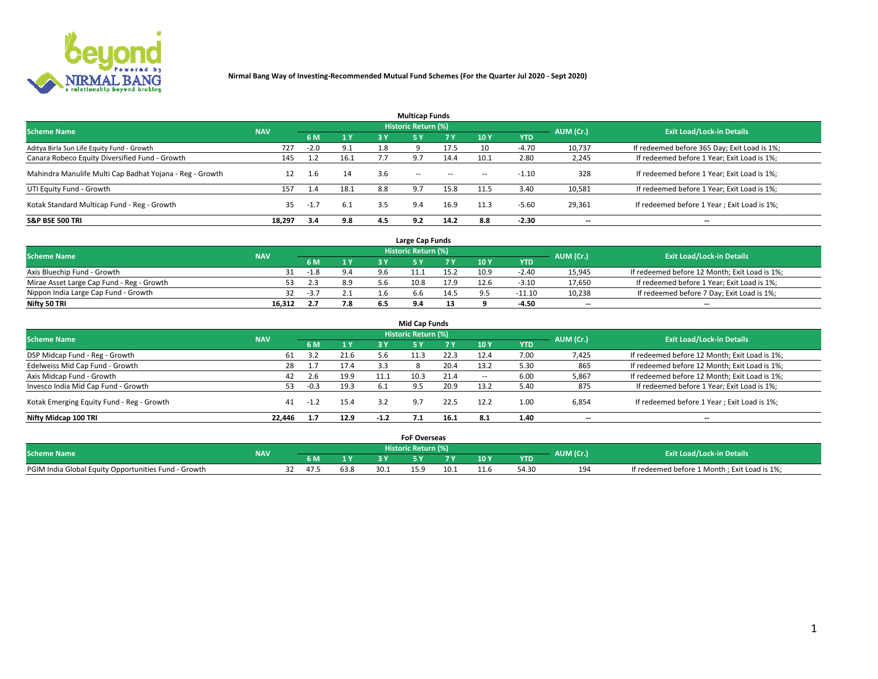

| <b>Multicap Funds</b>                                    |            |        |      |     |                     |           |                          |            |           |                                              |  |  |  |
|----------------------------------------------------------|------------|--------|------|-----|---------------------|-----------|--------------------------|------------|-----------|----------------------------------------------|--|--|--|
| <b>Scheme Name</b>                                       | <b>NAV</b> |        |      |     | Historic Return (%) |           |                          |            | AUM (Cr.) | <b>Exit Load/Lock-in Details</b>             |  |  |  |
|                                                          |            | 6 M    | 1Y   | 3 Y | <b>5Y</b>           | <b>7Y</b> | 10Y                      | <b>YTD</b> |           |                                              |  |  |  |
| Aditya Birla Sun Life Equity Fund - Growth               | 727        | $-2.0$ | 9.1  |     |                     | 17.5      | 10                       | $-4.70$    | 10,737    | If redeemed before 365 Day; Exit Load is 1%; |  |  |  |
| Canara Robeco Equity Diversified Fund - Growth           | 145        |        | 16.1 |     | 9.7                 | 14.4      | 10.1                     | 2.80       | 2,245     | If redeemed before 1 Year; Exit Load is 1%;  |  |  |  |
| Mahindra Manulife Multi Cap Badhat Yojana - Reg - Growth |            | 1.6    | 14   | 3.6 | $\sim$ $-$          | $\sim$    | $\overline{\phantom{a}}$ | $-1.10$    | 328       | If redeemed before 1 Year; Exit Load is 1%;  |  |  |  |
| UTI Equity Fund - Growth                                 | 157        | 1.4    | 18.1 | 8.8 | 9.7                 | 15.8      | 11.5                     | 3.40       | 10,581    | If redeemed before 1 Year; Exit Load is 1%;  |  |  |  |
| Kotak Standard Multicap Fund - Reg - Growth              | 35         | -1.,   | 6.1  | 3.5 | 9.4                 | 16.9      | 11.3                     | $-5.60$    | 29,361    | If redeemed before 1 Year; Exit Load is 1%;  |  |  |  |
| <b>S&amp;P BSE 500 TRI</b>                               | 18.297     | 3.4    | 9.8  | 4.5 | 9.2                 | 14.2      | 8.8                      | $-2.30$    | --        | $- -$                                        |  |  |  |

|                                           |            |        |     |     | Large Cap Funds     |      |      |            |                          |                                               |
|-------------------------------------------|------------|--------|-----|-----|---------------------|------|------|------------|--------------------------|-----------------------------------------------|
| <b>Scheme Name</b>                        | <b>NAV</b> |        |     |     | Historic Return (%) |      |      |            | AUM (Cr.)                | <b>Exit Load/Lock-in Details</b>              |
|                                           |            | 6 M    | 4V  |     |                     |      | 10 Y | <b>YTD</b> |                          |                                               |
| Axis Bluechip Fund - Growth               |            | $-1.8$ |     | 9.6 |                     | 15.2 | 10.9 | $-2.40$    | 15,945                   | If redeemed before 12 Month; Exit Load is 1%; |
| Mirae Asset Large Cap Fund - Reg - Growth |            |        | 8.9 |     | 10.8                | 17.9 | 12.6 | $-3.10$    | 17,650                   | If redeemed before 1 Year; Exit Load is 1%;   |
| Nippon India Large Cap Fund - Growth      |            | $-3.7$ | 2.1 |     | p.b                 | 14.5 |      | $-11.10$   | 10,238                   | If redeemed before 7 Day; Exit Load is 1%;    |
| Nifty 50 TRI                              | 16.312     |        | 7.8 |     |                     |      |      | -4.50      | $\overline{\phantom{a}}$ | $- -$                                         |

| <b>Mid Cap Funds</b>                      |            |        |      |        |                            |      |            |            |                          |                                               |  |  |  |
|-------------------------------------------|------------|--------|------|--------|----------------------------|------|------------|------------|--------------------------|-----------------------------------------------|--|--|--|
| <b>Scheme Name</b>                        | <b>NAV</b> |        |      |        | <b>Historic Return (%)</b> |      |            |            | AUM (Cr.)                | <b>Exit Load/Lock-in Details</b>              |  |  |  |
|                                           |            | 6 M    | 1 Y  | 3 Y    |                            | 7 V  | <b>10Y</b> | <b>YTD</b> |                          |                                               |  |  |  |
| DSP Midcap Fund - Reg - Growth            | 61         | 3.2    | 21.6 | 5.b    | 11.3                       | 22.3 | 12.4       | 7.00       | 7,425                    | If redeemed before 12 Month; Exit Load is 1%; |  |  |  |
| Edelweiss Mid Cap Fund - Growth           | 28         |        | 17.4 | 3.3    |                            | 20.4 | 13.2       | 5.30       | 865                      | If redeemed before 12 Month; Exit Load is 1%; |  |  |  |
| Axis Midcap Fund - Growth                 | 42         | 2.6    | 19.9 | 11.1   | 10.3                       | 21.4 |            | 6.00       | 5,867                    | If redeemed before 12 Month; Exit Load is 1%; |  |  |  |
| Invesco India Mid Cap Fund - Growth       | 53         | $-0.3$ | 19.3 | -6.1   | 9.5                        | 20.9 | 13.2       | 5.40       | 875                      | If redeemed before 1 Year; Exit Load is 1%;   |  |  |  |
| Kotak Emerging Equity Fund - Reg - Growth | 41         | $-1.2$ | 15.4 | 3.2    | 9.7                        | 22.5 | 12.2       | 1.00       | 6,854                    | If redeemed before 1 Year; Exit Load is 1%;   |  |  |  |
| Nifty Midcap 100 TRI                      | 22.446     |        | 12.9 | $-1.2$ |                            | 16.1 | 8.1        | 1.40       | $\overline{\phantom{a}}$ | $\overline{\phantom{a}}$                      |  |  |  |

|                                                      |            |     |      |      | <b>FoF Overseas</b> |      |      |            |           |                                              |
|------------------------------------------------------|------------|-----|------|------|---------------------|------|------|------------|-----------|----------------------------------------------|
| <b>Scheme Name</b>                                   | <b>NAV</b> |     |      |      | Historic Return (%) |      |      |            | AUM (Cr.) | <b>Exit Load/Lock-in Details</b>             |
|                                                      |            | 6 M | 1Y   |      |                     |      | 10 Y | <b>YTD</b> |           |                                              |
| PGIM India Global Equity Opportunities Fund - Growth |            |     | 63.8 | 30.1 |                     | 10.1 |      | 54.3C      | 194       | If redeemed before 1 Month; Exit Load is 1%; |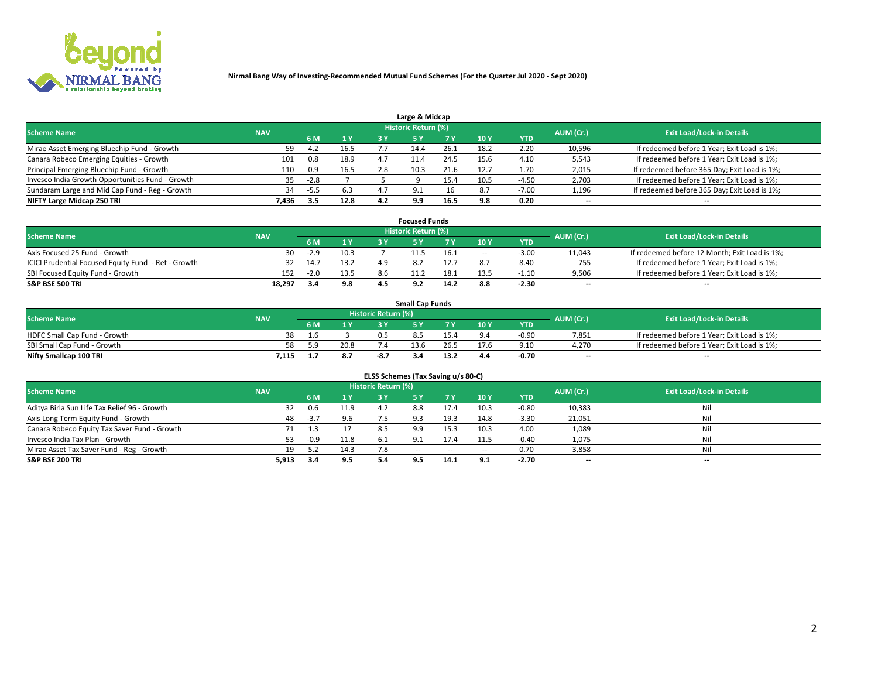

| Large & Midcap                                   |            |        |      |     |                            |      |      |         |                          |                                              |  |  |  |
|--------------------------------------------------|------------|--------|------|-----|----------------------------|------|------|---------|--------------------------|----------------------------------------------|--|--|--|
| <b>Scheme Name</b>                               | <b>NAV</b> |        |      |     | <b>Historic Return (%)</b> |      |      |         | AUM (Cr.)                | <b>Exit Load/Lock-in Details</b>             |  |  |  |
|                                                  |            | 6 M    | 1Y   | 3 Y |                            | 7 V  | 10Y  | YTD     |                          |                                              |  |  |  |
| Mirae Asset Emerging Bluechip Fund - Growth      | 59         | 4.2    | 16.5 |     |                            | 26.1 | 18.2 | 2.20    | 10,596                   | If redeemed before 1 Year; Exit Load is 1%;  |  |  |  |
| Canara Robeco Emerging Equities - Growth         | 101        | 0.8    | 18.9 |     |                            | 24.5 | 15.6 | 4.10    | 5,543                    | If redeemed before 1 Year; Exit Load is 1%;  |  |  |  |
| Principal Emerging Bluechip Fund - Growth        | 110        | 0.9    | 16.5 | 2.8 | 10.3                       | 21.6 | 12.7 | 1.70    | 2,015                    | If redeemed before 365 Day; Exit Load is 1%; |  |  |  |
| Invesco India Growth Opportunities Fund - Growth |            | $-2.8$ |      |     |                            |      | 10.5 | -4.50   | 2,703                    | If redeemed before 1 Year; Exit Load is 1%;  |  |  |  |
| Sundaram Large and Mid Cap Fund - Reg - Growth   | 34         | -5.5   | 6.3  | 4.7 | $\Omega$                   | 16   | 8.7  | $-7.00$ | 1,196                    | If redeemed before 365 Day; Exit Load is 1%; |  |  |  |
| NIFTY Large Midcap 250 TRI                       | 7.436      | 3.5    | 12.8 | 4.2 | 9.9                        | 16.5 | 9.8  | 0.20    | $\overline{\phantom{a}}$ | $- -$                                        |  |  |  |

|                                                     |            |        |      |     | <b>Focused Funds</b>       |      |        |            |                          |                                               |
|-----------------------------------------------------|------------|--------|------|-----|----------------------------|------|--------|------------|--------------------------|-----------------------------------------------|
| <b>Scheme Name</b>                                  | <b>NAV</b> |        |      |     | <b>Historic Return (%)</b> |      |        |            | AUM (Cr.)                | <b>Exit Load/Lock-in Details</b>              |
|                                                     |            | 6 M    | 1 Y  |     |                            |      | 10 Y   | <b>YTD</b> |                          |                                               |
| Axis Focused 25 Fund - Growth                       | 30         | $-2.9$ | 10.3 |     | 11.5                       | 16.1 | $\sim$ | $-3.00$    | 11,043                   | If redeemed before 12 Month; Exit Load is 1%; |
| ICICI Prudential Focused Equity Fund - Ret - Growth |            | 14.7   | 13.2 |     |                            |      |        | 8.40       | 755                      | If redeemed before 1 Year; Exit Load is 1%;   |
| SBI Focused Equity Fund - Growth                    | 152        | $-2.0$ | 13.5 | 8.6 |                            | 18.1 |        | $-1.10$    | 9,506                    | If redeemed before 1 Year; Exit Load is 1%;   |
| <b>S&amp;P BSE 500 TRI</b>                          | 18,297     |        | 9.8  |     |                            | 14.2 |        | $-2.30$    | $\overline{\phantom{a}}$ | $\hspace{0.05cm}$ – $\hspace{0.05cm}$         |

| <b>Small Cap Funds</b>       |            |     |      |                     |      |  |                 |            |           |                                             |  |  |
|------------------------------|------------|-----|------|---------------------|------|--|-----------------|------------|-----------|---------------------------------------------|--|--|
| <b>Scheme Name</b>           | <b>NAV</b> |     |      | Historic Return (%) |      |  |                 |            | AUM (Cr.) | <b>Exit Load/Lock-in Details</b>            |  |  |
|                              |            | 6 M | 1 Y  |                     |      |  | 10 <sub>Y</sub> | <b>YTD</b> |           |                                             |  |  |
| HDFC Small Cap Fund - Growth | 38         |     |      |                     |      |  |                 | $-0.90$    | 7,851     | If redeemed before 1 Year; Exit Load is 1%; |  |  |
| SBI Small Cap Fund - Growth  | 58         |     | 20.8 |                     | 13.6 |  | 17.6            | 9.10       | 4.270     | If redeemed before 1 Year; Exit Load is 1%; |  |  |
| Nifty Smallcap 100 TRI       | 7.115      |     | 8.7  | -8.                 | 3.4  |  |                 | -0.70      | $- -$     | $- -$                                       |  |  |

| ELSS Schemes (Tax Saving u/s 80-C)           |            |        |      |                            |           |        |                          |            |                          |                                  |  |  |  |
|----------------------------------------------|------------|--------|------|----------------------------|-----------|--------|--------------------------|------------|--------------------------|----------------------------------|--|--|--|
| <b>Scheme Name</b>                           | <b>NAV</b> |        |      | <b>Historic Return (%)</b> |           |        |                          |            | AUM (Cr.)                | <b>Exit Load/Lock-in Details</b> |  |  |  |
|                                              |            | - 6 M  | 1Y   | 3 Y                        | <b>5Y</b> | 7 Y    | 10 Y                     | <b>YTD</b> |                          |                                  |  |  |  |
| Aditya Birla Sun Life Tax Relief 96 - Growth | 32         | 0.6    | 11.9 | 1 J                        | 8.8       | 17.4   | 10.3                     | $-0.80$    | 10,383                   | Nil                              |  |  |  |
| Axis Long Term Equity Fund - Growth          | 48         | $-3.7$ | 9.6  | 7.5                        | 9.3       | 19.3   | 14.8                     | $-3.30$    | 21,051                   | Nil                              |  |  |  |
| Canara Robeco Equity Tax Saver Fund - Growth |            | 1.3    |      | 8.5                        | 9.9       | 15.3   | 10.3                     | 4.00       | 1,089                    | Nil                              |  |  |  |
| Invesco India Tax Plan - Growth              | 53         | $-0.9$ | 11.8 |                            |           | 17.4   | 11.5                     | $-0.40$    | 1,075                    | Nil                              |  |  |  |
| Mirae Asset Tax Saver Fund - Reg - Growth    | 19         | 5.2    | 14.3 |                            | $- -$     | $\sim$ | $\overline{\phantom{a}}$ | 0.70       | 3,858                    | Nil                              |  |  |  |
| S&P BSE 200 TRI                              | 5,913      | 3.4    | 9.5  |                            | 9.5       | 14.1   | 9.1                      | $-2.70$    | $\overline{\phantom{a}}$ | $- -$                            |  |  |  |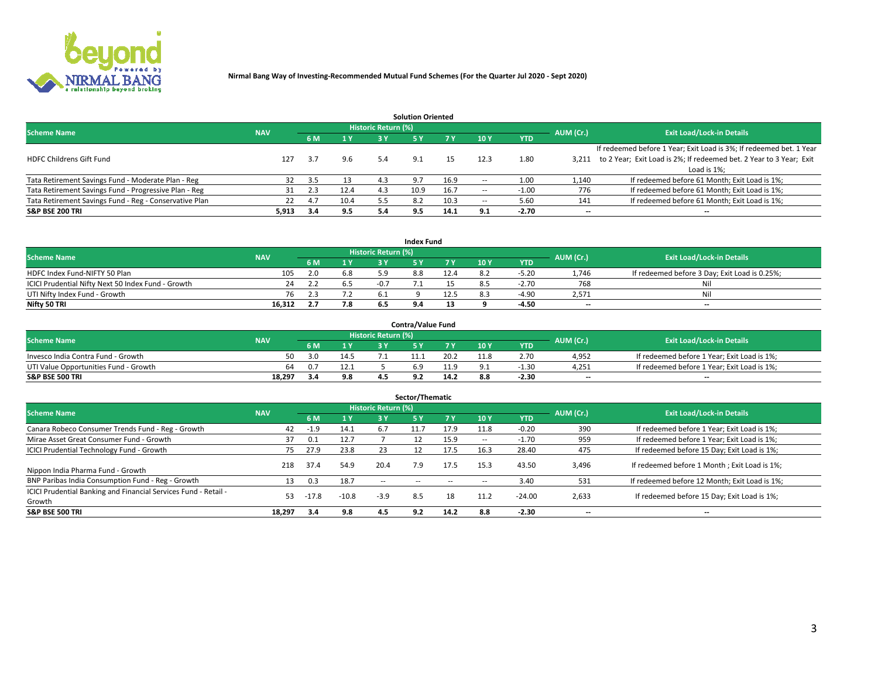

| <b>Solution Oriented</b>                               |            |            |      |                            |      |      |                          |            |                          |                                                                     |  |  |  |  |
|--------------------------------------------------------|------------|------------|------|----------------------------|------|------|--------------------------|------------|--------------------------|---------------------------------------------------------------------|--|--|--|--|
| <b>Scheme Name</b>                                     | <b>NAV</b> |            |      | <b>Historic Return (%)</b> |      |      |                          |            | AUM (Cr.)                | <b>Exit Load/Lock-in Details</b>                                    |  |  |  |  |
|                                                        |            | <b>6 M</b> | 1 Y  | 3 Y                        |      |      | 10Y                      | <b>YTD</b> |                          |                                                                     |  |  |  |  |
|                                                        |            |            |      |                            |      |      |                          |            |                          | If redeemed before 1 Year; Exit Load is 3%; If redeemed bet. 1 Year |  |  |  |  |
| <b>HDFC Childrens Gift Fund</b>                        | 127        | 3.7        | 9.6  | 5.4                        | 9.1  |      | 12.3                     | 1.80       | 3.211                    | to 2 Year; Exit Load is 2%; If redeemed bet. 2 Year to 3 Year; Exit |  |  |  |  |
|                                                        |            |            |      |                            |      |      |                          |            |                          | Load is 1%;                                                         |  |  |  |  |
| Tata Retirement Savings Fund - Moderate Plan - Reg     | 32         | 3.5        | 13   | 4.3                        | 9.7  | 16.9 | --                       | 1.00       | 1,140                    | If redeemed before 61 Month; Exit Load is 1%;                       |  |  |  |  |
| Tata Retirement Savings Fund - Progressive Plan - Reg  | 31         | 2.3        | 12.4 | 4.3                        | 10.9 | 16.7 | $\overline{\phantom{a}}$ | $-1.00$    | 776                      | If redeemed before 61 Month; Exit Load is 1%;                       |  |  |  |  |
| Tata Retirement Savings Fund - Reg - Conservative Plan | 22         | 4.7        | 10.4 | 5.5                        |      | 10.3 | --                       | 5.60       | 141                      | If redeemed before 61 Month; Exit Load is 1%;                       |  |  |  |  |
| S&P BSE 200 TRI                                        | 5,913      | 3.4        | 9.5  | 5.4                        | 9.5  | 14.1 | 9.1                      | $-2.70$    | $\overline{\phantom{a}}$ | $- -$                                                               |  |  |  |  |

|                                                    |            |     |                |                            | <b>Index Fund</b> |      |      |            |                          |                                               |
|----------------------------------------------------|------------|-----|----------------|----------------------------|-------------------|------|------|------------|--------------------------|-----------------------------------------------|
| <b>Scheme Name</b>                                 | <b>NAV</b> |     |                | <b>Historic Return (%)</b> |                   |      |      |            | AUM (Cr.)                | <b>Exit Load/Lock-in Details</b>              |
|                                                    |            |     | $\sqrt{1}$ $V$ | 2 V                        |                   | 7 V  | 10 Y | <b>YTD</b> |                          |                                               |
| HDFC Index Fund-NIFTY 50 Plan                      | 105        | 2.0 | 6.8            |                            | 8.8               |      |      | $-5.20$    | 1.746                    | If redeemed before 3 Day; Exit Load is 0.25%; |
| ICICI Prudential Nifty Next 50 Index Fund - Growth | 24         |     |                |                            |                   |      |      | $-2.70$    | 768                      | Nil                                           |
| UTI Nifty Index Fund - Growth                      | 76         |     |                |                            |                   | 12.5 |      | $-4.90$    | 2,571                    | Nil                                           |
| Nifty 50 TRI                                       | 16,312     |     | 7.8            |                            |                   |      |      | -4.50      | $\overline{\phantom{a}}$ | $- -$                                         |

|                                       |            |     |                                   |                            | <b>Contra/Value Fund</b> |      |      |            |                          |                                             |
|---------------------------------------|------------|-----|-----------------------------------|----------------------------|--------------------------|------|------|------------|--------------------------|---------------------------------------------|
| <b>Scheme Name</b>                    | <b>NAV</b> |     |                                   | <b>Historic Return (%)</b> |                          |      |      |            | AUM (Cr.)                | <b>Exit Load/Lock-in Details</b>            |
|                                       |            |     | $\boldsymbol{A}$ $\boldsymbol{V}$ |                            |                          | 7 V  | 10Y  | <b>YTD</b> |                          |                                             |
| Invesco India Contra Fund - Growth    | 50         | 3 N | 14.5                              |                            |                          | 20.2 | 11.8 | 2.70       | 4,952                    | If redeemed before 1 Year; Exit Load is 1%; |
| UTI Value Opportunities Fund - Growth | 64         |     | 12.1                              |                            |                          |      |      | -1.30      | 4,251                    | If redeemed before 1 Year; Exit Load is 1%; |
| <b>S&amp;P BSE 500 TRI</b>            | 18.297     |     | 9.8                               |                            |                          | 14.2 |      | $-2.30$    | $\overline{\phantom{a}}$ | $- -$                                       |

| Sector/Thematic                                                           |            |         |         |                     |            |            |                          |            |                          |                                               |  |  |  |
|---------------------------------------------------------------------------|------------|---------|---------|---------------------|------------|------------|--------------------------|------------|--------------------------|-----------------------------------------------|--|--|--|
| <b>Scheme Name</b>                                                        | <b>NAV</b> |         |         | Historic Return (%) |            |            |                          |            | AUM (Cr.)                | <b>Exit Load/Lock-in Details</b>              |  |  |  |
|                                                                           |            | 6 M     | 1 Y     | 3 Y                 | <b>5Y</b>  | <b>7 Y</b> | 10Y                      | <b>YTD</b> |                          |                                               |  |  |  |
| Canara Robeco Consumer Trends Fund - Reg - Growth                         | 42         | $-1.9$  | 14.1    | 6.7                 | 11.7       | 17.9       | 11.8                     | $-0.20$    | 390                      | If redeemed before 1 Year; Exit Load is 1%;   |  |  |  |
| Mirae Asset Great Consumer Fund - Growth                                  | 37         | 0.1     | 12.7    |                     |            | 15.9       | $\overline{\phantom{a}}$ | $-1.70$    | 959                      | If redeemed before 1 Year; Exit Load is 1%;   |  |  |  |
| <b>ICICI Prudential Technology Fund - Growth</b>                          | 75         | 27.9    | 23.8    | 23                  |            | 17.5       | 16.3                     | 28.40      | 475                      | If redeemed before 15 Day; Exit Load is 1%;   |  |  |  |
| Nippon India Pharma Fund - Growth                                         | 218        | 37.4    | 54.9    | 20.4                | 7.9        | 17.5       | 15.3                     | 43.50      | 3,496                    | If redeemed before 1 Month; Exit Load is 1%;  |  |  |  |
| BNP Paribas India Consumption Fund - Reg - Growth                         | 13         | 0.3     | 18.7    | $\sim$ $\sim$       | $\sim$ $-$ | $- -$      | $\overline{\phantom{a}}$ | 3.40       | 531                      | If redeemed before 12 Month; Exit Load is 1%; |  |  |  |
| ICICI Prudential Banking and Financial Services Fund - Retail -<br>Growth | 53         | $-17.8$ | $-10.8$ | $-3.9$              | 8.5        | 18         | 11.2                     | $-24.00$   | 2,633                    | If redeemed before 15 Day; Exit Load is 1%;   |  |  |  |
| <b>S&amp;P BSE 500 TRI</b>                                                | 18,297     | 3.4     | 9.8     | 4.5                 | 9.2        | 14.2       | 8.8                      | $-2.30$    | $\overline{\phantom{a}}$ | --                                            |  |  |  |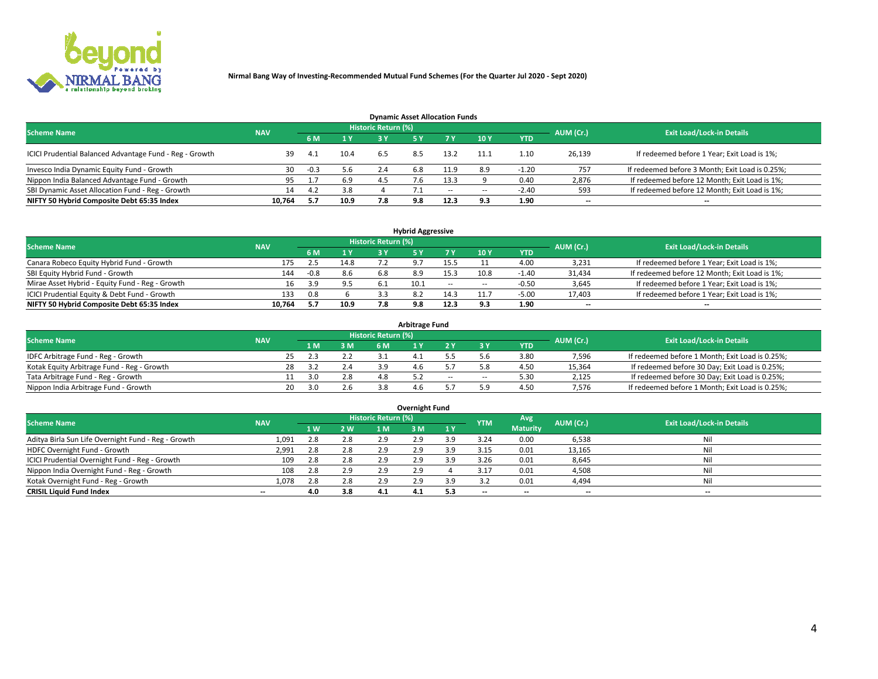

| <b>Dynamic Asset Allocation Funds</b>                   |            |        |                |                     |     |        |            |            |           |                                                 |  |  |  |  |
|---------------------------------------------------------|------------|--------|----------------|---------------------|-----|--------|------------|------------|-----------|-------------------------------------------------|--|--|--|--|
| <b>Scheme Name</b>                                      | <b>NAV</b> |        |                | Historic Return (%) |     |        |            |            | AUM (Cr.) | <b>Exit Load/Lock-in Details</b>                |  |  |  |  |
|                                                         |            | 6 M    | 1 <sup>Y</sup> |                     |     |        | <b>10Y</b> | <b>YTD</b> |           |                                                 |  |  |  |  |
| ICICI Prudential Balanced Advantage Fund - Reg - Growth | 39         | 4.1    | 10.4           | 6.5                 | 8.5 | 13.2   | 11.1       | 1.10       | 26,139    | If redeemed before 1 Year; Exit Load is 1%;     |  |  |  |  |
| Invesco India Dynamic Equity Fund - Growth              | 30         | $-0.3$ | 5.6            | 2.4                 | 6.8 | 11.9   | 8.9        | -1.20      | 757       | If redeemed before 3 Month; Exit Load is 0.25%; |  |  |  |  |
| Nippon India Balanced Advantage Fund - Growth           | 95         |        | 6.9            | 4.5                 |     | 13.3   |            | 0.40       | 2,876     | If redeemed before 12 Month; Exit Load is 1%;   |  |  |  |  |
| SBI Dynamic Asset Allocation Fund - Reg - Growth        | 14         | 4.2    | 3.8            |                     |     | $\sim$ | $\sim$     | $-2.40$    | 593       | If redeemed before 12 Month; Exit Load is 1%;   |  |  |  |  |
| NIFTY 50 Hybrid Composite Debt 65:35 Index              | 10,764     | 5.7    | 10.9           | 7.8                 | 9.8 | 12.3   | 9.3        | 1.90       | $- -$     | $- -$                                           |  |  |  |  |

| <b>Hybrid Aggressive</b>                        |            |        |      |                            |           |        |      |            |                          |                                               |  |  |  |  |
|-------------------------------------------------|------------|--------|------|----------------------------|-----------|--------|------|------------|--------------------------|-----------------------------------------------|--|--|--|--|
| <b>Scheme Name</b>                              | <b>NAV</b> |        |      | <b>Historic Return (%)</b> |           |        |      |            | AUM (Cr.)                | <b>Exit Load/Lock-in Details</b>              |  |  |  |  |
|                                                 |            | 6 M    | 1 Y  | 3 ۷                        |           | 7 Y    | 10Y  | <b>YTD</b> |                          |                                               |  |  |  |  |
| Canara Robeco Equity Hybrid Fund - Growth       | 175        |        | 14.8 |                            | $\circ$ 7 |        |      | 4.00       | 3,231                    | If redeemed before 1 Year; Exit Load is 1%;   |  |  |  |  |
| SBI Equity Hybrid Fund - Growth                 | 144        | $-0.8$ | 8.6  | 6.8                        | 8.9       | 15.3   | 10.8 | $-1.40$    | 31,434                   | If redeemed before 12 Month; Exit Load is 1%; |  |  |  |  |
| Mirae Asset Hybrid - Equity Fund - Reg - Growth | 16.        | 3.9    | 9.5  |                            | 10.1      | $\sim$ | --   | $-0.50$    | 3,645                    | If redeemed before 1 Year; Exit Load is 1%;   |  |  |  |  |
| ICICI Prudential Equity & Debt Fund - Growth    | 133        | 0.8    |      |                            |           | 14.3   |      | $-5.00$    | 17,403                   | If redeemed before 1 Year; Exit Load is 1%;   |  |  |  |  |
| NIFTY 50 Hybrid Composite Debt 65:35 Index      | 10.764     | 5.7    | 10.9 |                            | 9.8       | 12.3   |      | 1.90       | $\overline{\phantom{a}}$ | $- -$                                         |  |  |  |  |

| <b>Arbitrage Fund</b>                      |            |      |     |                     |  |        |     |            |           |                                                 |  |  |  |  |
|--------------------------------------------|------------|------|-----|---------------------|--|--------|-----|------------|-----------|-------------------------------------------------|--|--|--|--|
| <b>Scheme Name</b>                         | <b>NAV</b> |      |     | Historic Return (%) |  |        |     |            | AUM (Cr.) | <b>Exit Load/Lock-in Details</b>                |  |  |  |  |
|                                            |            | 1 M. | 3 M | 6 M                 |  |        |     | <b>YTD</b> |           |                                                 |  |  |  |  |
| IDFC Arbitrage Fund - Reg - Growth         |            |      | 2.2 |                     |  |        |     | 3.80       | 7,596     | If redeemed before 1 Month; Exit Load is 0.25%; |  |  |  |  |
| Kotak Equity Arbitrage Fund - Reg - Growth | 28         |      | 2.4 |                     |  |        |     | 4.50       | 15,364    | If redeemed before 30 Day; Exit Load is 0.25%;  |  |  |  |  |
| Tata Arbitrage Fund - Reg - Growth         |            | 3.O  | 2.8 |                     |  | $\sim$ | $-$ | 5.30       | 2,125     | If redeemed before 30 Day; Exit Load is 0.25%;  |  |  |  |  |
| Nippon India Arbitrage Fund - Growth       | 20         | 3.0  |     |                     |  |        |     | 4.50       | 7,576     | If redeemed before 1 Month; Exit Load is 0.25%; |  |  |  |  |

| Overnight Fund                                      |            |           |     |                     |     |     |            |                 |           |                                  |  |  |  |  |
|-----------------------------------------------------|------------|-----------|-----|---------------------|-----|-----|------------|-----------------|-----------|----------------------------------|--|--|--|--|
| <b>Scheme Name</b>                                  | <b>NAV</b> |           |     | Historic Return (%) |     |     | <b>YTM</b> | Avg             | AUM (Cr.) | <b>Exit Load/Lock-in Details</b> |  |  |  |  |
|                                                     |            | <b>1W</b> | 2 W | 1 M.                | 3 M | 1Y  |            | <b>Maturity</b> |           |                                  |  |  |  |  |
| Aditya Birla Sun Life Overnight Fund - Reg - Growth | 1,091      | 2.8       | 2.8 | 2.9                 | 2.9 | 3.9 | 3.24       | 0.00            | 6,538     | Nil                              |  |  |  |  |
| HDFC Overnight Fund - Growth                        | 2,991      |           | 2.8 | 2.9                 | 2.9 |     | 3.15       | 0.01            | 13,165    | Nil                              |  |  |  |  |
| ICICI Prudential Overnight Fund - Reg - Growth      | 109        |           | 2.8 | 2.9                 | 2.9 |     | 3.26       | 0.01            | 8,645     | Nil                              |  |  |  |  |
| Nippon India Overnight Fund - Reg - Growth          | 108        | 2.8       | 2.9 | 2.9                 | 2.9 |     | 3.17       | 0.01            | 4,508     | Nil                              |  |  |  |  |
| Kotak Overnight Fund - Reg - Growth                 | 1,078      | 2.8       | 2.8 | 2.9                 | 2.9 | 3.9 |            | 0.01            | 4,494     | Nil                              |  |  |  |  |
| <b>CRISIL Liquid Fund Index</b>                     | $- -$      | 4.0       | 3.8 | 4.1                 | 4.1 | 5.3 | --         | --              | $- -$     | --                               |  |  |  |  |

### **Overnight Fund**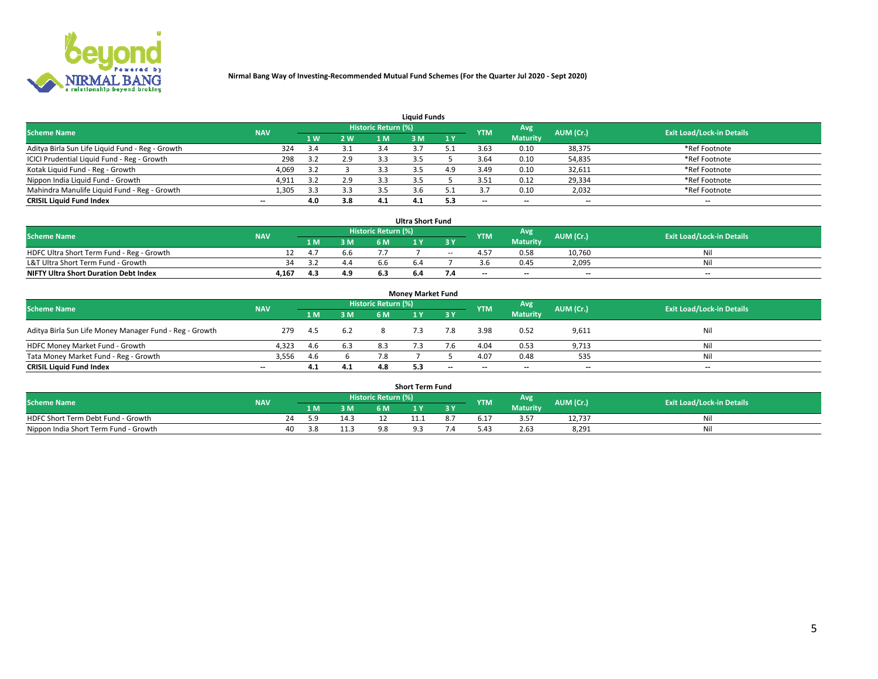

| <b>Liquid Funds</b>                              |            |     |     |                     |     |              |            |                 |           |                                  |  |  |  |  |
|--------------------------------------------------|------------|-----|-----|---------------------|-----|--------------|------------|-----------------|-----------|----------------------------------|--|--|--|--|
| <b>Scheme Name</b>                               | <b>NAV</b> |     |     | Historic Return (%) |     |              | <b>YTM</b> | Avg             | AUM (Cr.) | <b>Exit Load/Lock-in Details</b> |  |  |  |  |
|                                                  |            | 4W  | 2 W | 1 M                 | M   | $\sqrt{1}$ Y |            | <b>Maturity</b> |           |                                  |  |  |  |  |
| Aditya Birla Sun Life Liquid Fund - Reg - Growth | 324        |     |     |                     |     |              | 3.63       | 0.10            | 38,375    | *Ref Footnote                    |  |  |  |  |
| ICICI Prudential Liquid Fund - Reg - Growth      | 298        |     | 2.9 | 3.3                 |     |              | 3.64       | 0.10            | 54,835    | *Ref Footnote                    |  |  |  |  |
| Kotak Liquid Fund - Reg - Growth                 | 4,069      |     |     |                     |     | 4.9          | 3.49       | 0.10            | 32,611    | *Ref Footnote                    |  |  |  |  |
| Nippon India Liquid Fund - Growth                | 4,911      |     | 2.9 |                     |     |              | 3.51       | 0.12            | 29,334    | *Ref Footnote                    |  |  |  |  |
| Mahindra Manulife Liquid Fund - Reg - Growth     | 1,305      | 3.3 | 3.3 | 3.5                 |     |              |            | 0.10            | 2,032     | *Ref Footnote                    |  |  |  |  |
| <b>CRISIL Liquid Fund Index</b>                  | $- -$      | 4.0 | 3.8 | 4.1                 | 4.1 | 5.3          | --         | $- -$           | --        | $\overline{\phantom{a}}$         |  |  |  |  |

| <b>Ultra Short Fund</b>                      |            |      |     |                     |     |       |            |                 |                          |                                  |  |  |  |  |
|----------------------------------------------|------------|------|-----|---------------------|-----|-------|------------|-----------------|--------------------------|----------------------------------|--|--|--|--|
| <b>Scheme Name</b>                           | <b>NAV</b> |      |     | Historic Return (%) |     |       | <b>YTM</b> | Avg             | AUM (Cr.)                | <b>Exit Load/Lock-in Details</b> |  |  |  |  |
|                                              |            | 1 M. | 3 M | 6 M                 | 1 Y |       |            | <b>Maturity</b> |                          |                                  |  |  |  |  |
| HDFC Ultra Short Term Fund - Reg - Growth    |            | 4.1  | 6.6 |                     |     | $- -$ | 4.57       | 0.58            | 10.760                   | Ni                               |  |  |  |  |
| L&T Ultra Short Term Fund - Growth           |            |      | 4.4 |                     |     |       |            | 0.45            | 2,095                    | Ni                               |  |  |  |  |
| <b>NIFTY Ultra Short Duration Debt Index</b> | 4,167      | 4.3  | 4.9 |                     | 6.4 |       | $-$        | $- -$           | $\overline{\phantom{a}}$ | $-$                              |  |  |  |  |

| <b>Money Market Fund</b>                                |            |     |     |                     |  |       |                          |                 |                          |                                  |  |  |  |  |
|---------------------------------------------------------|------------|-----|-----|---------------------|--|-------|--------------------------|-----------------|--------------------------|----------------------------------|--|--|--|--|
| <b>Scheme Name</b>                                      | <b>NAV</b> |     |     | Historic Return (%) |  |       | <b>YTM</b>               | Avg             | AUM (Cr.)                | <b>Exit Load/Lock-in Details</b> |  |  |  |  |
|                                                         |            | 1 M | 3 M | 6 M                 |  | 3 Y   |                          | <b>Maturity</b> |                          |                                  |  |  |  |  |
| Aditya Birla Sun Life Money Manager Fund - Reg - Growth | 279        | 4.5 | 6.2 |                     |  | 7.8   | 3.98                     | 0.52            | 9,611                    | Nil                              |  |  |  |  |
| HDFC Money Market Fund - Growth                         | 4.323      | 4.6 | 6.3 | 8.3                 |  |       | 4.04                     | 0.53            | 9,713                    | Nil                              |  |  |  |  |
| Tata Money Market Fund - Reg - Growth                   | 3,556      | 4.6 |     | 7.8                 |  |       | 4.07                     | 0.48            | 535                      | Nil                              |  |  |  |  |
| <b>CRISIL Liquid Fund Index</b>                         | $- -$      | 4.1 | 4.1 | 4.8                 |  | $- -$ | $\overline{\phantom{a}}$ | $- -$           | $\overline{\phantom{a}}$ | $\overline{\phantom{a}}$         |  |  |  |  |

| <b>Short Term Fund</b>                |            |    |       |       |                     |  |     |            |                 |           |                                  |  |  |
|---------------------------------------|------------|----|-------|-------|---------------------|--|-----|------------|-----------------|-----------|----------------------------------|--|--|
| <b>Scheme Name</b>                    | <b>NAV</b> |    |       |       | Historic Return (%) |  |     | <b>YTM</b> | Avg             | AUM (Cr.) | <b>Exit Load/Lock-in Details</b> |  |  |
|                                       |            |    | 1 M . | 3 M   | 6 M                 |  | 2 V |            | <b>Maturity</b> |           |                                  |  |  |
| HDFC Short Term Debt Fund - Growth    |            | 74 |       | 1 A - |                     |  |     | 6.1        | 3.57            | 12,737    |                                  |  |  |
| Nippon India Short Term Fund - Growth |            | 40 |       | 11.3  |                     |  |     |            | 2.63            | 8,291     | M                                |  |  |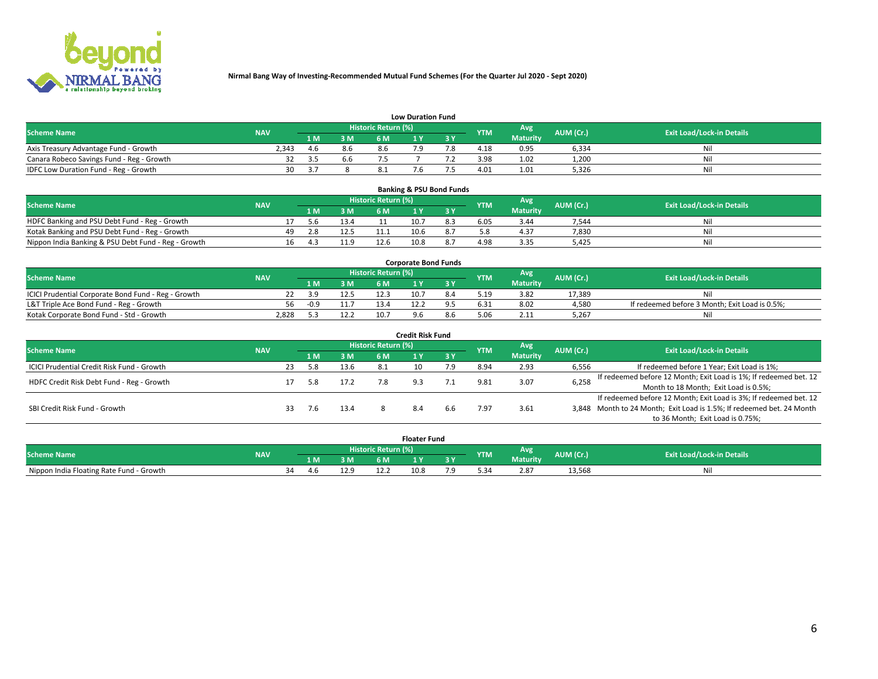

|                                           | <b>Low Duration Fund</b> |       |     |                     |  |     |            |                 |           |                                  |  |  |  |  |  |
|-------------------------------------------|--------------------------|-------|-----|---------------------|--|-----|------------|-----------------|-----------|----------------------------------|--|--|--|--|--|
| <b>Scheme Name</b>                        | <b>NAV</b>               |       |     | Historic Return (%) |  |     | <b>YTM</b> | Avg             | AUM (Cr.) | <b>Exit Load/Lock-in Details</b> |  |  |  |  |  |
|                                           |                          | L M.  | 3 M |                     |  | 3 Y |            | <b>Maturity</b> |           |                                  |  |  |  |  |  |
| Axis Treasury Advantage Fund - Growth     | 2.343                    | 4.b   | 8.6 | 8.6                 |  |     | 4.18       | 0.95            | 6,334     | Nil                              |  |  |  |  |  |
| Canara Robeco Savings Fund - Reg - Growth |                          | - 3.5 | 6.6 |                     |  |     | 3.98       | 1.02            | 1,200     | Nil                              |  |  |  |  |  |
| IDFC Low Duration Fund - Reg - Growth     | 30                       |       |     |                     |  |     | 4.01       | 1.01            | 5,326     | Nil                              |  |  |  |  |  |

| <b>Banking &amp; PSU Bond Funds</b>                 |            |     |      |      |                     |      |     |            |                 |           |                                  |  |  |  |
|-----------------------------------------------------|------------|-----|------|------|---------------------|------|-----|------------|-----------------|-----------|----------------------------------|--|--|--|
| <b>Scheme Name</b>                                  | <b>NAV</b> |     |      |      | Historic Return (%) |      |     | <b>YTM</b> | Avg             | AUM (Cr.) | <b>Exit Load/Lock-in Details</b> |  |  |  |
|                                                     |            |     | 1 M. | 3 M  | 6 M                 |      |     |            | <b>Maturity</b> |           |                                  |  |  |  |
| HDFC Banking and PSU Debt Fund - Reg - Growth       |            |     | 5.h  | 13.4 |                     | 10.7 | 8.3 | 6.05       | 3.44            | 7.544     | Ni                               |  |  |  |
| Kotak Banking and PSU Debt Fund - Reg - Growth      |            | 49. | 2.8  | 12.5 | 11.1                | 10.6 |     |            | 4.37            | 7,830     | Ni                               |  |  |  |
| Nippon India Banking & PSU Debt Fund - Reg - Growth |            | 16  | -4.3 | 11.9 | 12.6                | 10.8 |     | 4.98       | 3.35            | 5.425     | Νi                               |  |  |  |

| <b>Corporate Bond Funds</b>                         |            |        |      |                            |      |  |            |          |           |                                                |  |  |  |  |
|-----------------------------------------------------|------------|--------|------|----------------------------|------|--|------------|----------|-----------|------------------------------------------------|--|--|--|--|
| <b>Scheme Name</b>                                  | <b>NAV</b> |        |      | <b>Historic Return (%)</b> |      |  | <b>YTM</b> | Avg      | AUM (Cr.) | <b>Exit Load/Lock-in Details</b>               |  |  |  |  |
|                                                     |            |        | 3 M  | 6 M.                       |      |  |            | Maturity |           |                                                |  |  |  |  |
| ICICI Prudential Corporate Bond Fund - Reg - Growth |            |        | 12.5 | I2.3                       | 10.7 |  | 5.19       | 3.82     | 17.389    | Nil                                            |  |  |  |  |
| L&T Triple Ace Bond Fund - Reg - Growth             | 56         | $-0.9$ |      | 13.4                       |      |  | 6.31       | 8.02     | 4,580     | If redeemed before 3 Month; Exit Load is 0.5%; |  |  |  |  |
| Kotak Corporate Bond Fund - Std - Growth            | 2.828      |        | 12.2 | 10.7                       |      |  |            | 2.11     | 5,267     | Nil                                            |  |  |  |  |

| <b>Credit Risk Fund</b>                    |            |     |     |      |                     |    |     |            |                 |           |                                                                       |  |  |  |
|--------------------------------------------|------------|-----|-----|------|---------------------|----|-----|------------|-----------------|-----------|-----------------------------------------------------------------------|--|--|--|
| <b>Scheme Name</b>                         | <b>NAV</b> |     |     |      | Historic Return (%) |    |     | <b>YTM</b> | <b>Avg</b>      | AUM (Cr.) | <b>Exit Load/Lock-in Details</b>                                      |  |  |  |
|                                            |            |     | 1 M | 3 M  | 6 M                 |    | 3 Y |            | <b>Maturity</b> |           |                                                                       |  |  |  |
| ICICI Prudential Credit Risk Fund - Growth |            | 23  | 5.8 | 13.6 | 8.1                 | 10 | 7.9 | 8.94       | 2.93            | 6,556     | If redeemed before 1 Year; Exit Load is 1%;                           |  |  |  |
| HDFC Credit Risk Debt Fund - Reg - Growth  |            |     | 5.8 | 17.2 |                     |    |     |            | 3.07            | 6,258     | If redeemed before 12 Month; Exit Load is 1%; If redeemed bet. 12     |  |  |  |
|                                            |            |     |     |      |                     |    |     |            |                 |           | Month to 18 Month; Exit Load is 0.5%;                                 |  |  |  |
|                                            |            |     |     |      |                     |    |     |            |                 |           | If redeemed before 12 Month; Exit Load is 3%; If redeemed bet. 12     |  |  |  |
| SBI Credit Risk Fund - Growth              |            | 33. | 7.6 | 13.4 |                     |    | b.b | 1.97       | 3.61            |           | 3,848 Month to 24 Month; Exit Load is 1.5%; If redeemed bet. 24 Month |  |  |  |
|                                            |            |     |     |      |                     |    |     |            |                 |           | to 36 Month; Exit Load is 0.75%;                                      |  |  |  |

| <b>Floater Fund</b>                      |            |      |     |      |                       |      |   |            |                 |           |                                  |
|------------------------------------------|------------|------|-----|------|-----------------------|------|---|------------|-----------------|-----------|----------------------------------|
| <b>Scheme Name</b>                       | <b>NAV</b> |      |     |      | Historic Return (%) \ |      |   | <b>YTM</b> | Avg             | AUM (Cr.) | <b>Exit Load/Lock-in Details</b> |
|                                          |            |      | 1 M | ЗM   | 6 M                   | - 17 | . |            | <b>Maturity</b> |           |                                  |
| Nippon India Floating Rate Fund - Growth |            | - 34 | 4.b | 12.9 |                       | 10.8 |   |            | 2.87            | 13,568    | NL                               |